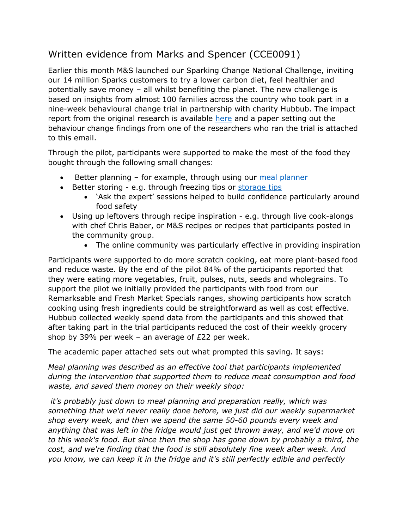## Written evidence from Marks and Spencer (CCE0091)

Earlier this month M&S launched our Sparking Change National Challenge, inviting our 14 million Sparks customers to try a lower carbon diet, feel healthier and potentially save money – all whilst benefiting the planet. The new challenge is based on insights from almost 100 families across the country who took part in a nine-week behavioural change trial in partnership with charity Hubbub. The impact report from the original research is available [here](https://protect-eu.mimecast.com/s/LD0dCP73vFLJmM4Tz4EKR?domain=eur01.safelinks.protection.outlook.com) and a paper setting out the behaviour change findings from one of the researchers who ran the trial is attached to this email.

Through the pilot, participants were supported to make the most of the food they bought through the following small changes:

- Better planning for example, through using our [meal](https://protect-eu.mimecast.com/s/6XUuCQn9wCwJqr6uPcUuE?domain=eur01.safelinks.protection.outlook.com) [planner](https://protect-eu.mimecast.com/s/6XUuCQn9wCwJqr6uPcUuE?domain=eur01.safelinks.protection.outlook.com)
- Better storing e.g. through freezing tips or [storage](https://protect-eu.mimecast.com/s/HDRYCRO3xs3ylBruPeJwS?domain=eur01.safelinks.protection.outlook.com) [tips](https://protect-eu.mimecast.com/s/HDRYCRO3xs3ylBruPeJwS?domain=eur01.safelinks.protection.outlook.com)
	- 'Ask the expert' sessions helped to build confidence particularly around food safety
- Using up leftovers through recipe inspiration e.g. through live cook-alongs with chef Chris Baber, or M&S recipes or recipes that participants posted in the community group.
	- The online community was particularly effective in providing inspiration

Participants were supported to do more scratch cooking, eat more plant-based food and reduce waste. By the end of the pilot 84% of the participants reported that they were eating more vegetables, fruit, pulses, nuts, seeds and wholegrains. To support the pilot we initially provided the participants with food from our Remarksable and Fresh Market Specials ranges, showing participants how scratch cooking using fresh ingredients could be straightforward as well as cost effective. Hubbub collected weekly spend data from the participants and this showed that after taking part in the trial participants reduced the cost of their weekly grocery shop by 39% per week – an average of £22 per week.

The academic paper attached sets out what prompted this saving. It says:

*Meal planning was described as an effective tool that participants implemented during the intervention that supported them to reduce meat consumption and food waste, and saved them money on their weekly shop:*

*it's probably just down to meal planning and preparation really, which was something that we'd never really done before, we just did our weekly supermarket shop every week, and then we spend the same 50-60 pounds every week and anything that was left in the fridge would just get thrown away, and we'd move on to this week's food. But since then the shop has gone down by probably a third, the cost, and we're finding that the food is still absolutely fine week after week. And you know, we can keep it in the fridge and it's still perfectly edible and perfectly*